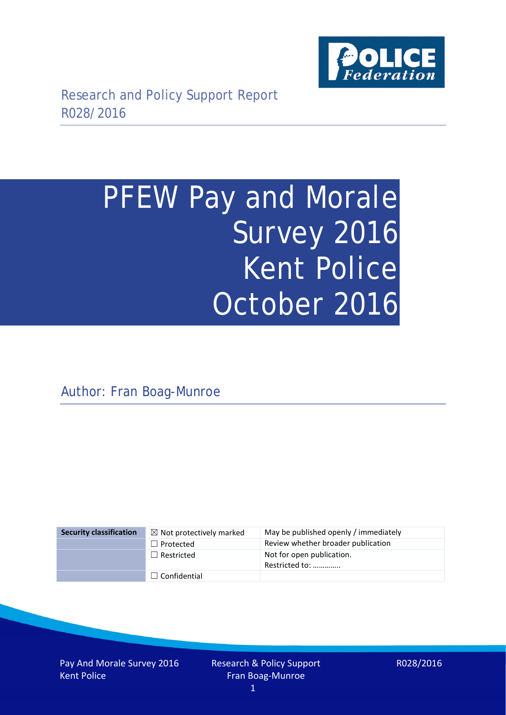

# PFEW Pay and Morale Survey 2016 Kent Police October 2016

Author: Fran Boag-Munroe

| <b>Security classification</b> | $\boxtimes$ Not protectively marked | May be published openly / immediately       |
|--------------------------------|-------------------------------------|---------------------------------------------|
|                                | $\Box$ Protected                    | Review whether broader publication          |
|                                | $\Box$ Restricted                   | Not for open publication.<br>Restricted to: |
|                                | $\Box$ Confidential                 |                                             |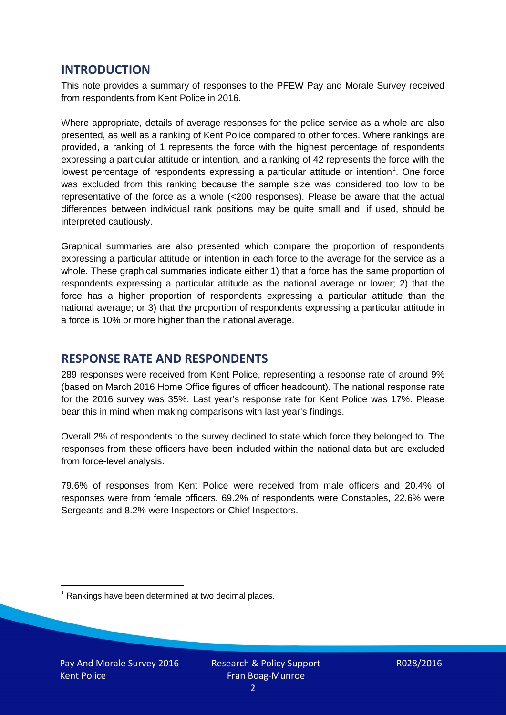# **INTRODUCTION**

This note provides a summary of responses to the PFEW Pay and Morale Survey received from respondents from Kent Police in 2016.

Where appropriate, details of average responses for the police service as a whole are also presented, as well as a ranking of Kent Police compared to other forces. Where rankings are provided, a ranking of 1 represents the force with the highest percentage of respondents expressing a particular attitude or intention, and a ranking of 42 represents the force with the lowest percentage of respondents expressing a particular attitude or intention<sup>[1](#page-1-0)</sup>. One force was excluded from this ranking because the sample size was considered too low to be representative of the force as a whole (<200 responses). Please be aware that the actual differences between individual rank positions may be quite small and, if used, should be interpreted cautiously.

Graphical summaries are also presented which compare the proportion of respondents expressing a particular attitude or intention in each force to the average for the service as a whole. These graphical summaries indicate either 1) that a force has the same proportion of respondents expressing a particular attitude as the national average or lower; 2) that the force has a higher proportion of respondents expressing a particular attitude than the national average; or 3) that the proportion of respondents expressing a particular attitude in a force is 10% or more higher than the national average.

# **RESPONSE RATE AND RESPONDENTS**

289 responses were received from Kent Police, representing a response rate of around 9% (based on March 2016 Home Office figures of officer headcount). The national response rate for the 2016 survey was 35%. Last year's response rate for Kent Police was 17%. Please bear this in mind when making comparisons with last year's findings.

Overall 2% of respondents to the survey declined to state which force they belonged to. The responses from these officers have been included within the national data but are excluded from force-level analysis.

79.6% of responses from Kent Police were received from male officers and 20.4% of responses were from female officers. 69.2% of respondents were Constables, 22.6% were Sergeants and 8.2% were Inspectors or Chief Inspectors.

<span id="page-1-0"></span> $1$  Rankings have been determined at two decimal places.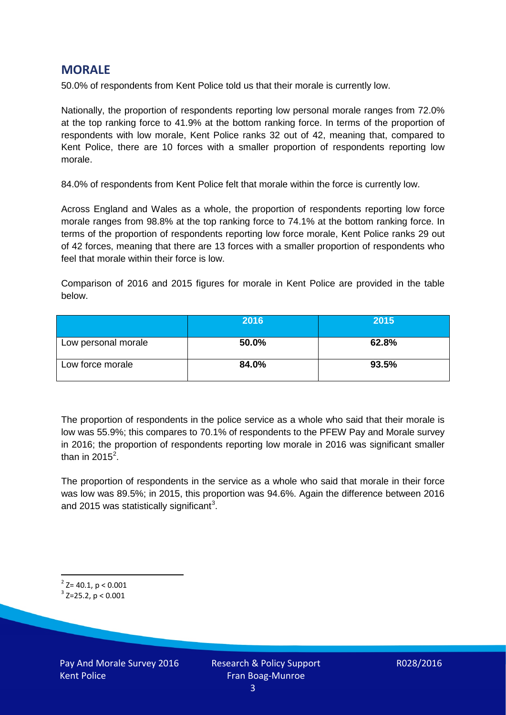# **MORALE**

50.0% of respondents from Kent Police told us that their morale is currently low.

Nationally, the proportion of respondents reporting low personal morale ranges from 72.0% at the top ranking force to 41.9% at the bottom ranking force. In terms of the proportion of respondents with low morale, Kent Police ranks 32 out of 42, meaning that, compared to Kent Police, there are 10 forces with a smaller proportion of respondents reporting low morale.

84.0% of respondents from Kent Police felt that morale within the force is currently low.

Across England and Wales as a whole, the proportion of respondents reporting low force morale ranges from 98.8% at the top ranking force to 74.1% at the bottom ranking force. In terms of the proportion of respondents reporting low force morale, Kent Police ranks 29 out of 42 forces, meaning that there are 13 forces with a smaller proportion of respondents who feel that morale within their force is low.

Comparison of 2016 and 2015 figures for morale in Kent Police are provided in the table below.

|                     | 2016  | 2015  |
|---------------------|-------|-------|
| Low personal morale | 50.0% | 62.8% |
| Low force morale    | 84.0% | 93.5% |

The proportion of respondents in the police service as a whole who said that their morale is low was 55.9%; this compares to 70.1% of respondents to the PFEW Pay and Morale survey in 2016; the proportion of respondents reporting low morale in 2016 was significant smaller than in [2](#page-2-0)015 $^2$ .

The proportion of respondents in the service as a whole who said that morale in their force was low was 89.5%; in 2015, this proportion was 94.6%. Again the difference between 2016 and 2015 was statistically significant<sup>[3](#page-2-1)</sup>.

<span id="page-2-0"></span> $2$ <sup>2</sup> Z= 40.1, p < 0.001

<span id="page-2-1"></span> $3$  Z=25.2, p < 0.001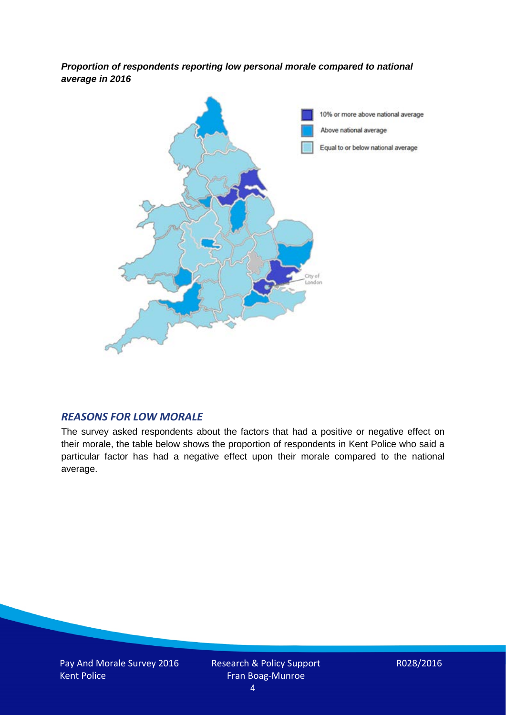*Proportion of respondents reporting low personal morale compared to national average in 2016*



## *REASONS FOR LOW MORALE*

The survey asked respondents about the factors that had a positive or negative effect on their morale, the table below shows the proportion of respondents in Kent Police who said a particular factor has had a negative effect upon their morale compared to the national average.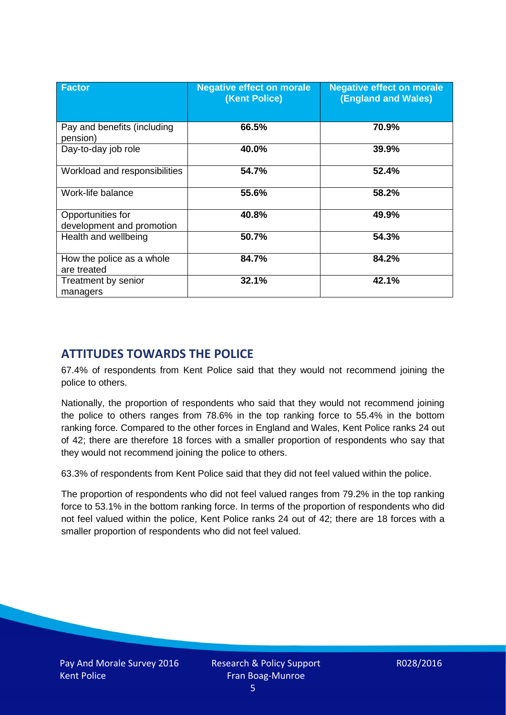| <b>Factor</b>                                  | <b>Negative effect on morale</b><br>(Kent Police) | <b>Negative effect on morale</b><br><b>(England and Wales)</b> |
|------------------------------------------------|---------------------------------------------------|----------------------------------------------------------------|
| Pay and benefits (including<br>pension)        | 66.5%                                             | 70.9%                                                          |
| Day-to-day job role                            | 40.0%                                             | 39.9%                                                          |
| Workload and responsibilities                  | 54.7%                                             | 52.4%                                                          |
| Work-life balance                              | 55.6%                                             | 58.2%                                                          |
| Opportunities for<br>development and promotion | 40.8%                                             | 49.9%                                                          |
| Health and wellbeing                           | 50.7%                                             | 54.3%                                                          |
| How the police as a whole<br>are treated       | 84.7%                                             | 84.2%                                                          |
| Treatment by senior<br>managers                | 32.1%                                             | 42.1%                                                          |

# **ATTITUDES TOWARDS THE POLICE**

67.4% of respondents from Kent Police said that they would not recommend joining the police to others.

Nationally, the proportion of respondents who said that they would not recommend joining the police to others ranges from 78.6% in the top ranking force to 55.4% in the bottom ranking force. Compared to the other forces in England and Wales, Kent Police ranks 24 out of 42; there are therefore 18 forces with a smaller proportion of respondents who say that they would not recommend joining the police to others.

63.3% of respondents from Kent Police said that they did not feel valued within the police.

The proportion of respondents who did not feel valued ranges from 79.2% in the top ranking force to 53.1% in the bottom ranking force. In terms of the proportion of respondents who did not feel valued within the police, Kent Police ranks 24 out of 42; there are 18 forces with a smaller proportion of respondents who did not feel valued.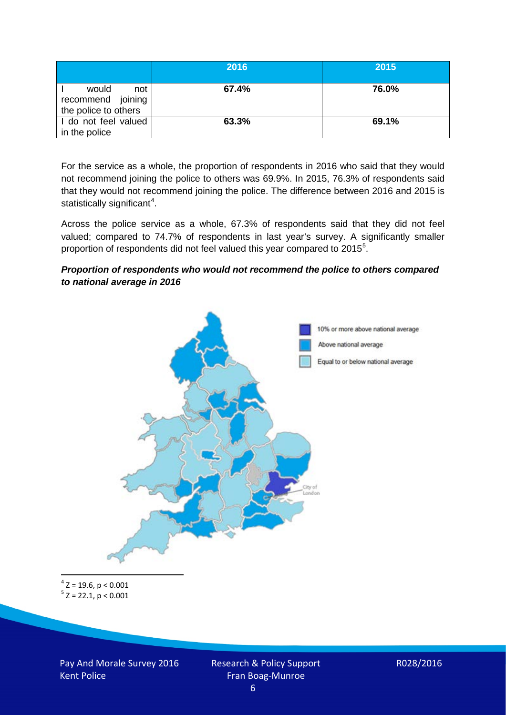|                                                           | 2016  | 2015  |
|-----------------------------------------------------------|-------|-------|
| would<br>not<br>recommend joining<br>the police to others | 67.4% | 76.0% |
| I do not feel valued<br>in the police                     | 63.3% | 69.1% |

For the service as a whole, the proportion of respondents in 2016 who said that they would not recommend joining the police to others was 69.9%. In 2015, 76.3% of respondents said that they would not recommend joining the police. The difference between 2016 and 2015 is statistically significant<sup>[4](#page-5-0)</sup>.

Across the police service as a whole, 67.3% of respondents said that they did not feel valued; compared to 74.7% of respondents in last year's survey. A significantly smaller proportion of respondents did not feel valued this year compared to 201[5](#page-5-1)<sup>5</sup>.

#### *Proportion of respondents who would not recommend the police to others compared to national average in 2016*



<span id="page-5-1"></span><span id="page-5-0"></span> $4$  Z = 19.6, p < 0.001  $5$  Z = 22.1, p < 0.001

Pay And Morale Survey 2016 Kent Police

Research & Policy Support Fran Boag-Munroe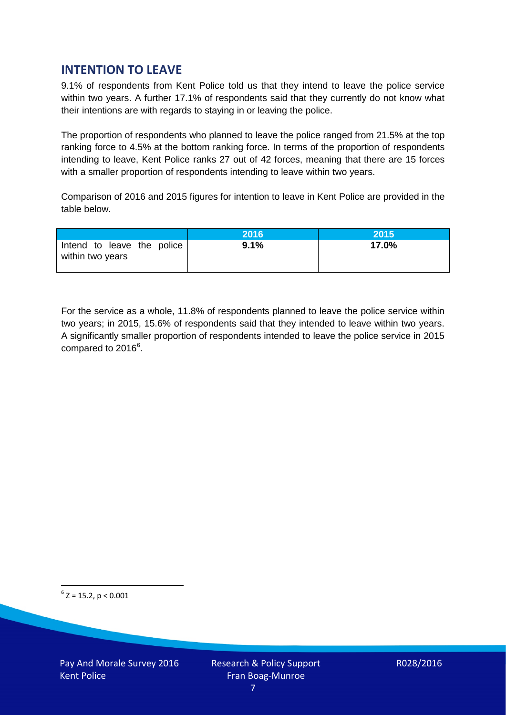# **INTENTION TO LEAVE**

9.1% of respondents from Kent Police told us that they intend to leave the police service within two years. A further 17.1% of respondents said that they currently do not know what their intentions are with regards to staying in or leaving the police.

The proportion of respondents who planned to leave the police ranged from 21.5% at the top ranking force to 4.5% at the bottom ranking force. In terms of the proportion of respondents intending to leave, Kent Police ranks 27 out of 42 forces, meaning that there are 15 forces with a smaller proportion of respondents intending to leave within two years.

Comparison of 2016 and 2015 figures for intention to leave in Kent Police are provided in the table below.

|                                                | 2016 | 2015  |
|------------------------------------------------|------|-------|
| Intend to leave the police<br>within two years | 9.1% | 17.0% |

For the service as a whole, 11.8% of respondents planned to leave the police service within two years; in 2015, 15.6% of respondents said that they intended to leave within two years. A significantly smaller proportion of respondents intended to leave the police service in 2015 compared to 201[6](#page-6-0)<sup>6</sup>.

<span id="page-6-0"></span> $6$  Z = 15.2, p < 0.001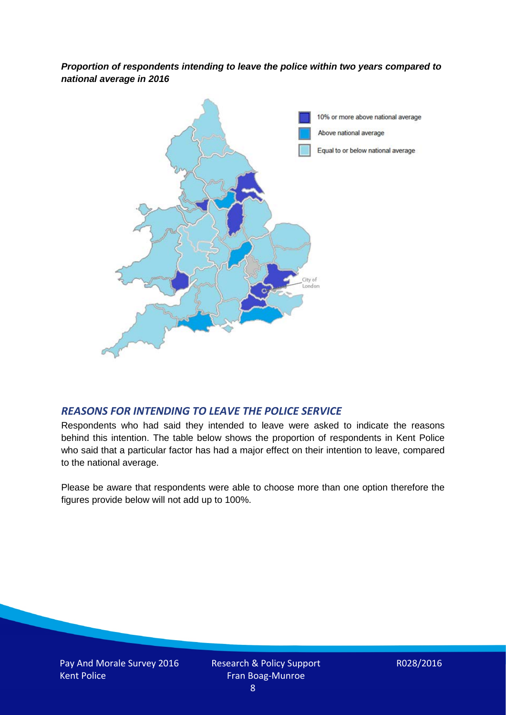*Proportion of respondents intending to leave the police within two years compared to national average in 2016*



## *REASONS FOR INTENDING TO LEAVE THE POLICE SERVICE*

Respondents who had said they intended to leave were asked to indicate the reasons behind this intention. The table below shows the proportion of respondents in Kent Police who said that a particular factor has had a major effect on their intention to leave, compared to the national average.

Please be aware that respondents were able to choose more than one option therefore the figures provide below will not add up to 100%.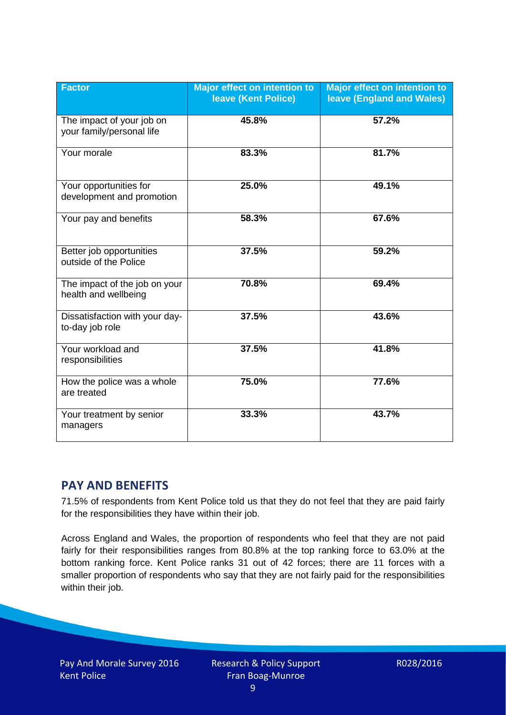| <b>Factor</b>                                          | Major effect on intention to<br><b>leave (Kent Police)</b> | <b>Major effect on intention to</b><br><b>leave (England and Wales)</b> |
|--------------------------------------------------------|------------------------------------------------------------|-------------------------------------------------------------------------|
| The impact of your job on<br>your family/personal life | 45.8%                                                      | 57.2%                                                                   |
| Your morale                                            | 83.3%                                                      | 81.7%                                                                   |
| Your opportunities for<br>development and promotion    | 25.0%                                                      | 49.1%                                                                   |
| Your pay and benefits                                  | 58.3%                                                      | 67.6%                                                                   |
| Better job opportunities<br>outside of the Police      | 37.5%                                                      | 59.2%                                                                   |
| The impact of the job on your<br>health and wellbeing  | 70.8%                                                      | 69.4%                                                                   |
| Dissatisfaction with your day-<br>to-day job role      | 37.5%                                                      | 43.6%                                                                   |
| Your workload and<br>responsibilities                  | 37.5%                                                      | 41.8%                                                                   |
| How the police was a whole<br>are treated              | 75.0%                                                      | 77.6%                                                                   |
| Your treatment by senior<br>managers                   | 33.3%                                                      | 43.7%                                                                   |

# **PAY AND BENEFITS**

71.5% of respondents from Kent Police told us that they do not feel that they are paid fairly for the responsibilities they have within their job.

Across England and Wales, the proportion of respondents who feel that they are not paid fairly for their responsibilities ranges from 80.8% at the top ranking force to 63.0% at the bottom ranking force. Kent Police ranks 31 out of 42 forces; there are 11 forces with a smaller proportion of respondents who say that they are not fairly paid for the responsibilities within their job.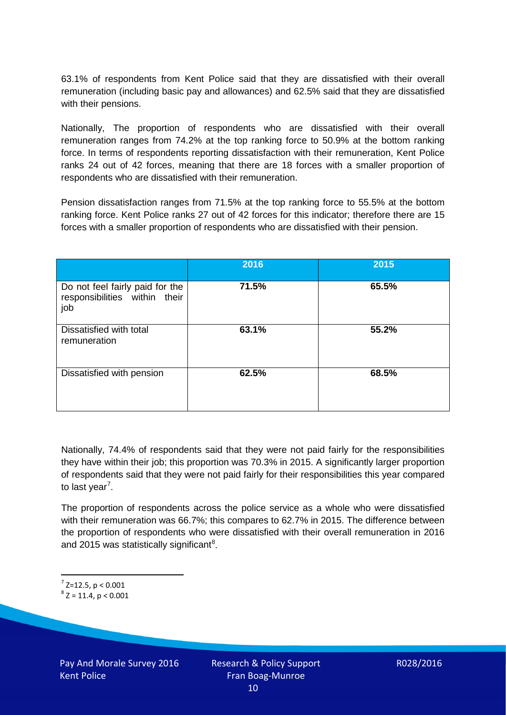63.1% of respondents from Kent Police said that they are dissatisfied with their overall remuneration (including basic pay and allowances) and 62.5% said that they are dissatisfied with their pensions.

Nationally, The proportion of respondents who are dissatisfied with their overall remuneration ranges from 74.2% at the top ranking force to 50.9% at the bottom ranking force. In terms of respondents reporting dissatisfaction with their remuneration, Kent Police ranks 24 out of 42 forces, meaning that there are 18 forces with a smaller proportion of respondents who are dissatisfied with their remuneration.

Pension dissatisfaction ranges from 71.5% at the top ranking force to 55.5% at the bottom ranking force. Kent Police ranks 27 out of 42 forces for this indicator; therefore there are 15 forces with a smaller proportion of respondents who are dissatisfied with their pension.

|                                                                         | 2016  | 2015  |
|-------------------------------------------------------------------------|-------|-------|
| Do not feel fairly paid for the<br>responsibilities within their<br>job | 71.5% | 65.5% |
| Dissatisfied with total<br>remuneration                                 | 63.1% | 55.2% |
| Dissatisfied with pension                                               | 62.5% | 68.5% |

Nationally, 74.4% of respondents said that they were not paid fairly for the responsibilities they have within their job; this proportion was 70.3% in 2015. A significantly larger proportion of respondents said that they were not paid fairly for their responsibilities this year compared to last year<sup>[7](#page-9-0)</sup>.

The proportion of respondents across the police service as a whole who were dissatisfied with their remuneration was 66.7%; this compares to 62.7% in 2015. The difference between the proportion of respondents who were dissatisfied with their overall remuneration in 2016 and 2015 was statistically significant<sup>[8](#page-9-1)</sup>.

<span id="page-9-0"></span> $7$  Z=12.5, p < 0.001

<span id="page-9-1"></span> $8$  Z = 11.4, p < 0.001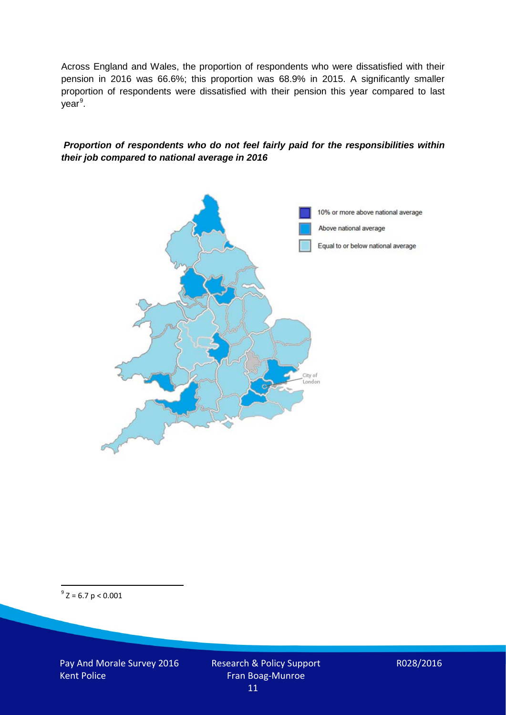Across England and Wales, the proportion of respondents who were dissatisfied with their pension in 2016 was 66.6%; this proportion was 68.9% in 2015. A significantly smaller proportion of respondents were dissatisfied with their pension this year compared to last year<sup>[9](#page-10-0)</sup>.

#### *Proportion of respondents who do not feel fairly paid for the responsibilities within their job compared to national average in 2016*



<span id="page-10-0"></span> $9^9$  Z = 6.7 p < 0.001

Pay And Morale Survey 2016 Kent Police

Research & Policy Support Fran Boag-Munroe 11